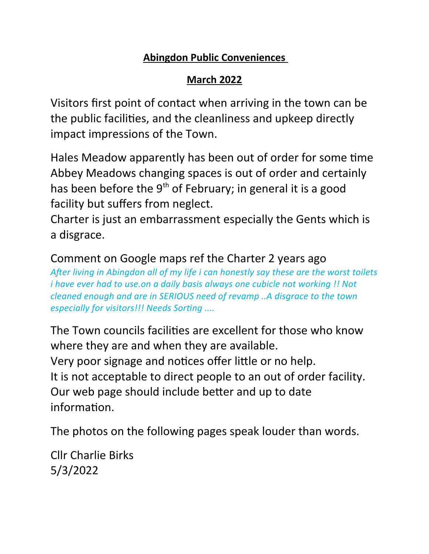## **Abingdon Public Conveniences**

## **March 2022**

Visitors first point of contact when arriving in the town can be the public facilities, and the cleanliness and upkeep directly impact impressions of the Town.

Hales Meadow apparently has been out of order for some time Abbey Meadows changing spaces is out of order and certainly has been before the  $9<sup>th</sup>$  of February; in general it is a good facility but suffers from neglect.

Charter is just an embarrassment especially the Gents which is a disgrace.

Comment on Google maps ref the Charter 2 years ago *After living in Abingdon all of my life i can honestly say these are the worst toilets i have ever had to use.on a daily basis always one cubicle not working !! Not cleaned enough and are in SERIOUS need of revamp ..A disgrace to the town especially for visitors!!! Needs Sorting ....*

The Town councils facilities are excellent for those who know where they are and when they are available. Very poor signage and notices offer little or no help. It is not acceptable to direct people to an out of order facility. Our web page should include better and up to date information.

The photos on the following pages speak louder than words.

Cllr Charlie Birks 5/3/2022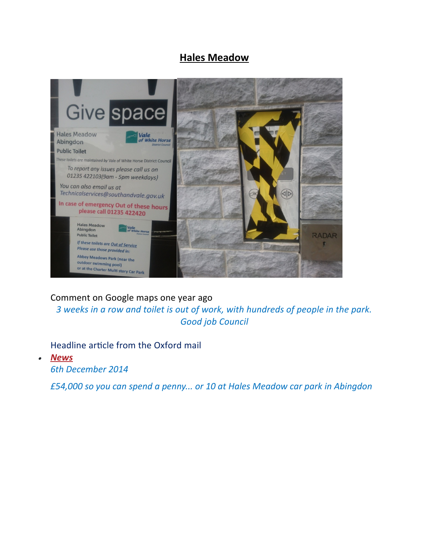## **Hales Meadow**



Comment on Google maps one year ago

*3 weeks in a row and toilet is out of work, with hundreds of people in the park. Good job Council*

Headline article from the Oxford mail

 *News*

*6th December 2014*

*£54,000 so you can spend a penny... or 10 at Hales Meadow car park in Abingdon*